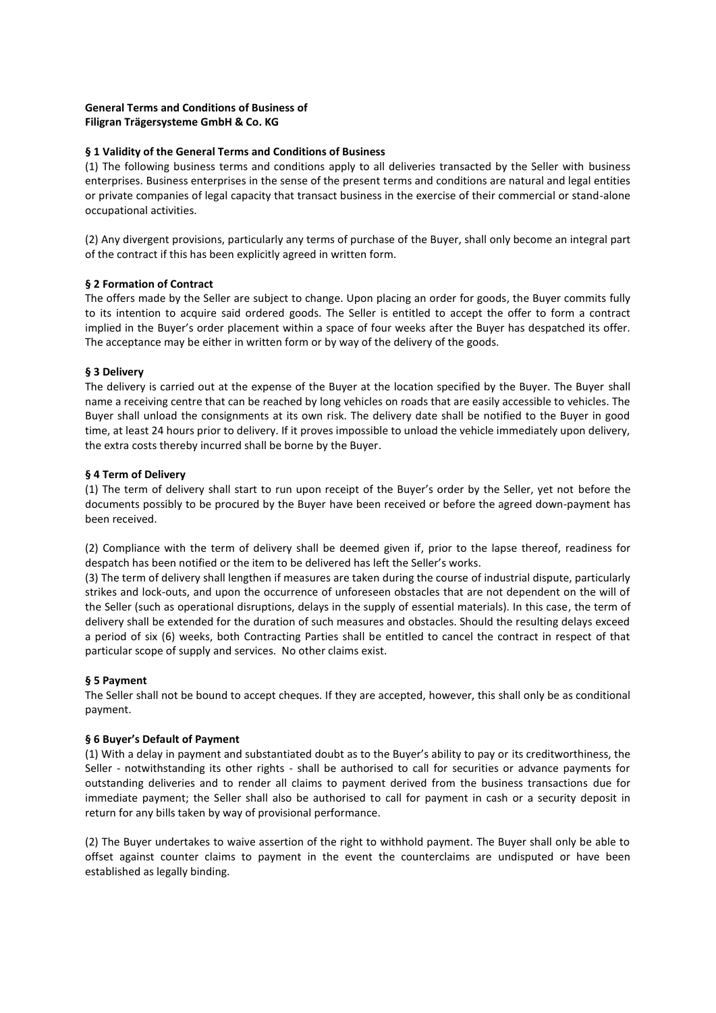# **General Terms and Conditions of Business of Filigran Trägersysteme GmbH & Co. KG**

# **§ 1 Validity of the General Terms and Conditions of Business**

(1) The following business terms and conditions apply to all deliveries transacted by the Seller with business enterprises. Business enterprises in the sense of the present terms and conditions are natural and legal entities or private companies of legal capacity that transact business in the exercise of their commercial or stand-alone occupational activities.

(2) Any divergent provisions, particularly any terms of purchase of the Buyer, shall only become an integral part of the contract if this has been explicitly agreed in written form.

## **§ 2 Formation of Contract**

The offers made by the Seller are subject to change. Upon placing an order for goods, the Buyer commits fully to its intention to acquire said ordered goods. The Seller is entitled to accept the offer to form a contract implied in the Buyer's order placement within a space of four weeks after the Buyer has despatched its offer. The acceptance may be either in written form or by way of the delivery of the goods.

## **§ 3 Delivery**

The delivery is carried out at the expense of the Buyer at the location specified by the Buyer. The Buyer shall name a receiving centre that can be reached by long vehicles on roads that are easily accessible to vehicles. The Buyer shall unload the consignments at its own risk. The delivery date shall be notified to the Buyer in good time, at least 24 hours prior to delivery. If it proves impossible to unload the vehicle immediately upon delivery, the extra costs thereby incurred shall be borne by the Buyer.

## **§ 4 Term of Delivery**

(1) The term of delivery shall start to run upon receipt of the Buyer's order by the Seller, yet not before the documents possibly to be procured by the Buyer have been received or before the agreed down-payment has been received.

(2) Compliance with the term of delivery shall be deemed given if, prior to the lapse thereof, readiness for despatch has been notified or the item to be delivered has left the Seller's works.

(3) The term of delivery shall lengthen if measures are taken during the course of industrial dispute, particularly strikes and lock-outs, and upon the occurrence of unforeseen obstacles that are not dependent on the will of the Seller (such as operational disruptions, delays in the supply of essential materials). In this case, the term of delivery shall be extended for the duration of such measures and obstacles. Should the resulting delays exceed a period of six (6) weeks, both Contracting Parties shall be entitled to cancel the contract in respect of that particular scope of supply and services. No other claims exist.

## **§ 5 Payment**

The Seller shall not be bound to accept cheques. If they are accepted, however, this shall only be as conditional payment.

## **§ 6 Buyer's Default of Payment**

(1) With a delay in payment and substantiated doubt as to the Buyer's ability to pay or its creditworthiness, the Seller - notwithstanding its other rights - shall be authorised to call for securities or advance payments for outstanding deliveries and to render all claims to payment derived from the business transactions due for immediate payment; the Seller shall also be authorised to call for payment in cash or a security deposit in return for any bills taken by way of provisional performance.

(2) The Buyer undertakes to waive assertion of the right to withhold payment. The Buyer shall only be able to offset against counter claims to payment in the event the counterclaims are undisputed or have been established as legally binding.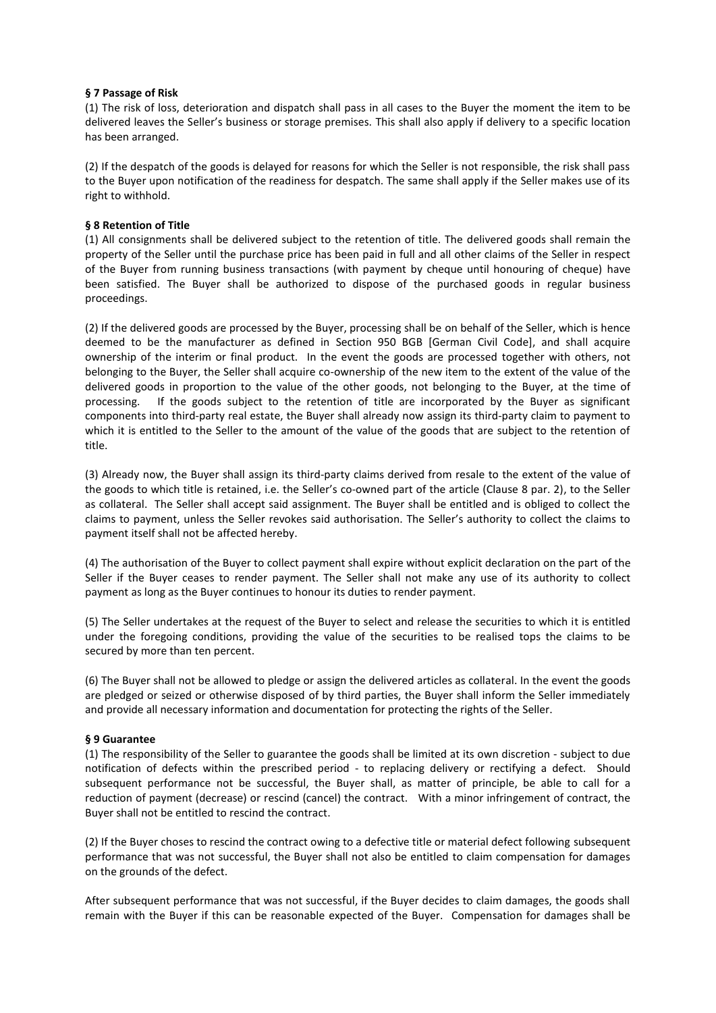#### **§ 7 Passage of Risk**

(1) The risk of loss, deterioration and dispatch shall pass in all cases to the Buyer the moment the item to be delivered leaves the Seller's business or storage premises. This shall also apply if delivery to a specific location has been arranged.

(2) If the despatch of the goods is delayed for reasons for which the Seller is not responsible, the risk shall pass to the Buyer upon notification of the readiness for despatch. The same shall apply if the Seller makes use of its right to withhold.

### **§ 8 Retention of Title**

(1) All consignments shall be delivered subject to the retention of title. The delivered goods shall remain the property of the Seller until the purchase price has been paid in full and all other claims of the Seller in respect of the Buyer from running business transactions (with payment by cheque until honouring of cheque) have been satisfied. The Buyer shall be authorized to dispose of the purchased goods in regular business proceedings.

(2) If the delivered goods are processed by the Buyer, processing shall be on behalf of the Seller, which is hence deemed to be the manufacturer as defined in Section 950 BGB [German Civil Code], and shall acquire ownership of the interim or final product. In the event the goods are processed together with others, not belonging to the Buyer, the Seller shall acquire co-ownership of the new item to the extent of the value of the delivered goods in proportion to the value of the other goods, not belonging to the Buyer, at the time of processing. If the goods subject to the retention of title are incorporated by the Buyer as significant components into third-party real estate, the Buyer shall already now assign its third-party claim to payment to which it is entitled to the Seller to the amount of the value of the goods that are subject to the retention of title.

(3) Already now, the Buyer shall assign its third-party claims derived from resale to the extent of the value of the goods to which title is retained, i.e. the Seller's co-owned part of the article (Clause 8 par. 2), to the Seller as collateral. The Seller shall accept said assignment. The Buyer shall be entitled and is obliged to collect the claims to payment, unless the Seller revokes said authorisation. The Seller's authority to collect the claims to payment itself shall not be affected hereby.

(4) The authorisation of the Buyer to collect payment shall expire without explicit declaration on the part of the Seller if the Buyer ceases to render payment. The Seller shall not make any use of its authority to collect payment as long as the Buyer continues to honour its duties to render payment.

(5) The Seller undertakes at the request of the Buyer to select and release the securities to which it is entitled under the foregoing conditions, providing the value of the securities to be realised tops the claims to be secured by more than ten percent.

(6) The Buyer shall not be allowed to pledge or assign the delivered articles as collateral. In the event the goods are pledged or seized or otherwise disposed of by third parties, the Buyer shall inform the Seller immediately and provide all necessary information and documentation for protecting the rights of the Seller.

## **§ 9 Guarantee**

(1) The responsibility of the Seller to guarantee the goods shall be limited at its own discretion - subject to due notification of defects within the prescribed period - to replacing delivery or rectifying a defect. Should subsequent performance not be successful, the Buyer shall, as matter of principle, be able to call for a reduction of payment (decrease) or rescind (cancel) the contract. With a minor infringement of contract, the Buyer shall not be entitled to rescind the contract.

(2) If the Buyer choses to rescind the contract owing to a defective title or material defect following subsequent performance that was not successful, the Buyer shall not also be entitled to claim compensation for damages on the grounds of the defect.

After subsequent performance that was not successful, if the Buyer decides to claim damages, the goods shall remain with the Buyer if this can be reasonable expected of the Buyer. Compensation for damages shall be